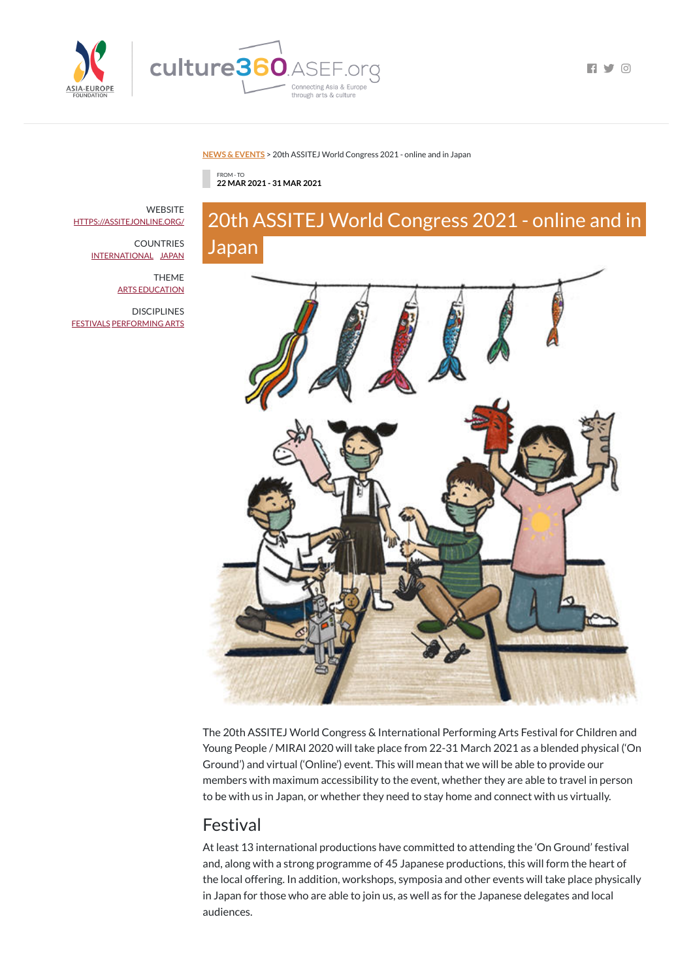

culture360.ASEF.org through arts & culture

 $\blacksquare$ 

#### **NEWS & [EVENTS](https://culture360.asef.org/news-events/)** > 20th ASSITEJ World Congress 2021 - online and in Japan

FROM - TO **22 MAR 2021 - 31 MAR 2021**

# 20th ASSITEJ World Congress 2021 - online and in Japan



The 20th ASSITEJ World Congress & International Performing Arts Festival for Children and

Young People / MIRAI 2020 will take place from 22-31 March 2021 as a blended physical ('On Ground') and virtual ('Online') event. This will mean that we will be able to provide our members with maximum accessibility to the event, whether they are able to travel in person to be with us in Japan, or whether they need to stay home and connect with us virtually.

**WEBSITE** [HTTPS://ASSITEJONLINE.ORG/](https://assitejonline.org/)

**DISCIPLINES** [FESTIVALS](https://culture360.asef.org/disciplines/festivals/) [PERFORMING](https://culture360.asef.org/disciplines/performing-arts/) ARTS

### Festival

At least 13 international productions have committed to attending the 'On Ground' festival and, along with a strong programme of 45 Japanese productions, this will form the heart of the local offering. In addition, workshops, symposia and other events will take place physically in Japan for those who are able to join us, as well as for the Japanese delegates and local audiences.

COUNTRIES [INTERNATIONAL](https://culture360.asef.org/countries/international/) [JAPAN](https://culture360.asef.org/countries/japan/)

> THEME ARTS [EDUCATION](https://culture360.asef.org/themes/arts-education/)